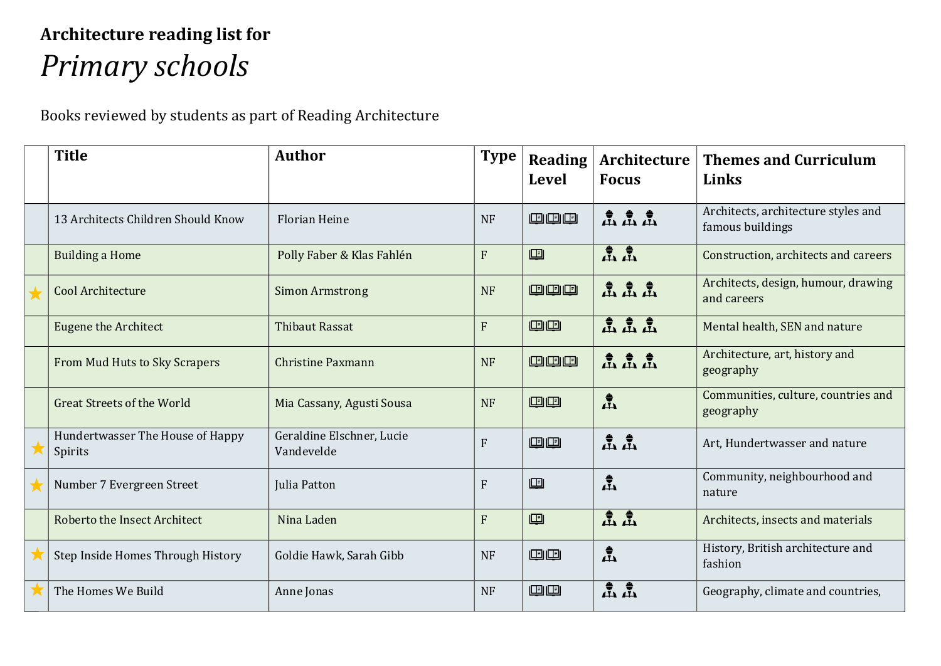## **Architecture reading list for**  *Primary schools*

Books reviewed by students as part of Reading Architecture

| <b>Title</b>                                | <b>Author</b>                           | <b>Type</b>    | <b>Reading</b><br><b>Level</b> | Architecture<br><b>Focus</b>                                                                   | <b>Themes and Curriculum</b><br>Links                   |
|---------------------------------------------|-----------------------------------------|----------------|--------------------------------|------------------------------------------------------------------------------------------------|---------------------------------------------------------|
| 13 Architects Children Should Know          | <b>Florian Heine</b>                    | <b>NF</b>      | 四四四                            | $\stackrel{\bullet}{\mathbf{A}} \stackrel{\bullet}{\mathbf{A}} \stackrel{\bullet}{\mathbf{A}}$ | Architects, architecture styles and<br>famous buildings |
| <b>Building a Home</b>                      | Polly Faber & Klas Fahlén               | $\overline{F}$ | 四                              | ዹ፝ዹ፝                                                                                           | Construction, architects and careers                    |
| Cool Architecture                           | <b>Simon Armstrong</b>                  | <b>NF</b>      | 四四四                            | ѽѽѽ                                                                                            | Architects, design, humour, drawing<br>and careers      |
| <b>Eugene the Architect</b>                 | <b>Thibaut Rassat</b>                   | F              | 四四                             | ភ្នំភ្នំ                                                                                       | Mental health, SEN and nature                           |
| From Mud Huts to Sky Scrapers               | <b>Christine Paxmann</b>                | <b>NF</b>      | 四四四                            | <b>虚虚虚</b>                                                                                     | Architecture, art, history and<br>geography             |
| <b>Great Streets of the World</b>           | Mia Cassany, Agusti Sousa               | <b>NF</b>      | 四四                             | $\frac{1}{2}$                                                                                  | Communities, culture, countries and<br>geography        |
| Hundertwasser The House of Happy<br>Spirits | Geraldine Elschner, Lucie<br>Vandevelde | F              | 四四                             | ዹ፟፞ዹ፟                                                                                          | Art, Hundertwasser and nature                           |
| Number 7 Evergreen Street                   | Julia Patton                            | $\overline{F}$ | 画                              | $\frac{1}{2}$                                                                                  | Community, neighbourhood and<br>nature                  |
| Roberto the Insect Architect                | Nina Laden                              | $\overline{F}$ | 回                              | 点点                                                                                             | Architects, insects and materials                       |
| Step Inside Homes Through History           | Goldie Hawk, Sarah Gibb                 | <b>NF</b>      | 四四                             | $\frac{1}{\sqrt{2}}$                                                                           | History, British architecture and<br>fashion            |
| The Homes We Build                          | Anne Jonas                              | <b>NF</b>      | 四四                             | ዹ፟፞ፚ፟                                                                                          | Geography, climate and countries,                       |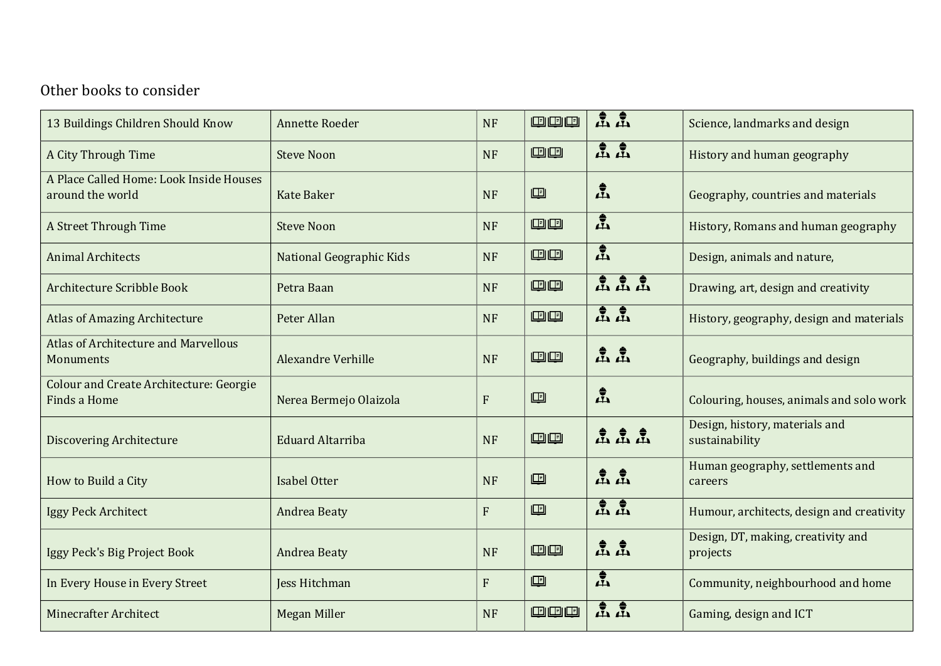## Other books to consider

| 13 Buildings Children Should Know                              | <b>Annette Roeder</b>     | <b>NF</b>    | 四四四 | 点点                 | Science, landmarks and design                    |
|----------------------------------------------------------------|---------------------------|--------------|-----|--------------------|--------------------------------------------------|
| A City Through Time                                            | <b>Steve Noon</b>         | <b>NF</b>    | 四四  | ዹ፟፞ዹ፟              | History and human geography                      |
| A Place Called Home: Look Inside Houses<br>around the world    | <b>Kate Baker</b>         | <b>NF</b>    | 回   | 孟                  | Geography, countries and materials               |
| A Street Through Time                                          | <b>Steve Noon</b>         | <b>NF</b>    | 四四  | $\mathbf{P}^*$     | History, Romans and human geography              |
| <b>Animal Architects</b>                                       | National Geographic Kids  | <b>NF</b>    | 四四  | $\mathbf{\hat{H}}$ | Design, animals and nature,                      |
| <b>Architecture Scribble Book</b>                              | Petra Baan                | <b>NF</b>    | 四四  | 孟孟孟                | Drawing, art, design and creativity              |
| <b>Atlas of Amazing Architecture</b>                           | Peter Allan               | <b>NF</b>    | 四四  | 孟孟                 | History, geography, design and materials         |
| Atlas of Architecture and Marvellous<br>Monuments              | <b>Alexandre Verhille</b> | <b>NF</b>    | 四四  | 点点                 | Geography, buildings and design                  |
| <b>Colour and Create Architecture: Georgie</b><br>Finds a Home | Nerea Bermejo Olaizola    | $\mathbf{F}$ | 呾   | 孟                  | Colouring, houses, animals and solo work         |
| <b>Discovering Architecture</b>                                | <b>Eduard Altarriba</b>   | <b>NF</b>    | 四四  | ዹ፟ዹ፟፟፟             | Design, history, materials and<br>sustainability |
| How to Build a City                                            | Isabel Otter              | <b>NF</b>    | 回   | ዹ፟፞ዹ፟              | Human geography, settlements and<br>careers      |
| Iggy Peck Architect                                            | <b>Andrea Beaty</b>       | $\mathbf{F}$ | 四   | ዹ፝ዹ፝               | Humour, architects, design and creativity        |
| Iggy Peck's Big Project Book                                   | <b>Andrea Beaty</b>       | <b>NF</b>    | 四四  | ዹ፝ዹ፝               | Design, DT, making, creativity and<br>projects   |
| In Every House in Every Street                                 | Jess Hitchman             | F            | 回   | 孟                  | Community, neighbourhood and home                |
| <b>Minecrafter Architect</b>                                   | <b>Megan Miller</b>       | <b>NF</b>    | 四四四 | ዹ፝ዹ፝               | Gaming, design and ICT                           |